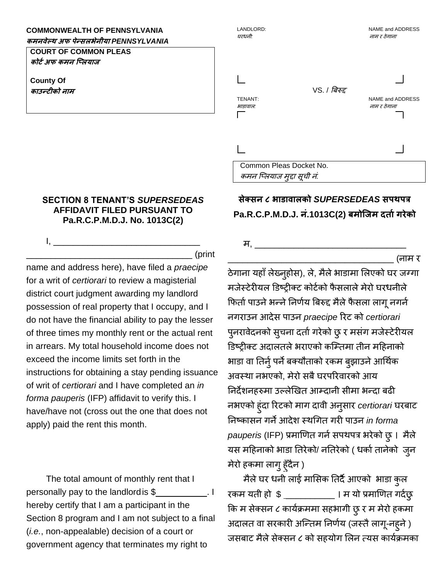## **COMMONWEALTH OF PENNSYLVANIA**

**कमनवेल्थ अफ पेन्सलभेनीया** *PENNSYLVANIA*

**COURT OF COMMON PLEAS कोर्टअफ कमन प्ललयाज**

**County Of काउन्र्ीको नाम**

## **SECTION 8 TENANT'S** *SUPERSEDEAS*  **AFFIDAVIT FILED PURSUANT TO Pa.R.C.P.M.D.J. No. 1013C(2)**

I, \_\_\_\_\_\_\_\_\_\_\_\_\_\_\_\_\_\_\_\_\_\_\_\_\_\_\_\_\_\_

\_\_\_\_\_\_\_\_\_\_\_\_\_\_\_\_\_\_\_\_\_\_\_\_\_\_\_\_\_\_\_\_\_\_ (print

name and address here), have filed a *praecipe*  for a writ of *certiorari* to review a magisterial district court judgment awarding my landlord possession of real property that I occupy, and I do not have the financial ability to pay the lesser of three times my monthly rent or the actual rent in arrears. My total household income does not exceed the income limits set forth in the instructions for obtaining a stay pending issuance of writ of *certiorari* and I have completed an *in forma pauperis* (IFP) affidavit to verify this. I have/have not (cross out the one that does not apply) paid the rent this month.

The total amount of monthly rent that I personally pay to the landlordis \$ \_\_\_\_\_\_\_\_\_\_. I hereby certify that I am a participant in the Section 8 program and I am not subject to a final (*i.e.*, non-appealable) decision of a court or government agency that terminates my right to

## LANDLORD: NAME and ADDRESS घरधनी*:* नाम <sup>र</sup> ठेगाना VS. / बिरुद्द TENANT: NAME and ADDRESS भाडावाल*:* नाम <sup>र</sup> ठेगाना Common Pleas Docket No. कमन प्ललयाज मुद्दा सूची नं*.*

## **सेक्सन ८ भाडावालको** *SUPERSEDEAS* **सपथपत्र Pa.R.C.P.M.D.J. नं.1013C(2) बमोप्जम दर्ाटगरेको**

म, \_\_\_\_\_\_\_\_\_\_\_\_\_\_\_\_\_\_\_\_\_\_\_\_\_\_\_\_\_\_\_

\_\_\_\_\_\_\_\_\_\_\_\_\_\_\_\_\_\_\_\_\_\_\_\_\_\_\_\_\_\_\_\_\_\_ (नाम र

ठेगाना यहाँ लेख्नुहोस), ले, मैले भाडामा लिएको घर जग्गा मजेस्टेरीयल डिष्ट्रीक्ट कोर्टको फैसलाले मेरो घरधनीले फिर्ता पाउने भन्ने निर्णय बिरुद्द मैले फैसला लागू नगर्न नगराउन आदेस पाउन *praecipe* ररट को *certiorari* पुनरावेदनको सूचना दर्ता गरेको छु र मसंग मजेस्टेरीयल डिष्ट्रीक्ट अदालतले भराएको कम्तिमा तीन महिनाको भाडा वा तिर्नु पर्ने बक्यौताको रकम बुझाउने आर्थिक अवस्था नभएको, मेरो सबै घरपरिवारको आय निर्देशनहरुमा उल्लेखित आम्दानी सीमा भन्दा बढी नभएको हुंदा ररटको माग दावी अनुसार *certiorari* घरिाट ननष्ट्कासन गनेआदेश स्थर्गर् गरी पाउन *in forma pauperis* (IFP) प्रमाखर्र् गनटसपथपत्र भरेको छु। मैले यस महिनाको भाडा तिरेको/ नतिरेको ( धर्का तानेको जुन मेरो हकमा लागुहुाँदैन )

मैलेघर धनी लाई मालसक नर्दैआएको भाडा कुल रकम यती हो \$ \_\_\_\_\_\_\_\_\_\_\_ । म यो प्रमाणित गर्दछु फक म सेक्सन ८ कायटक्रममा सहभागी छुर म मेरो हकमा अदालत वा सरकारी अन्तिम निर्णय (जस्तै लागू-नहुने ) जसबाट मैले सेक्सन ८ को सहयोग लिन त्यस कार्यक्रमका